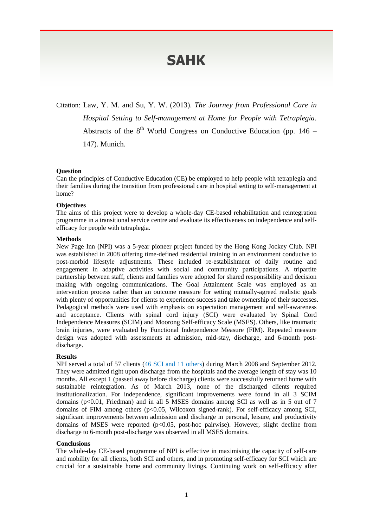# **SAHK**

Citation: Law, Y. M. and Su, Y. W. (2013). *The Journey from Professional Care in Hospital Setting to Self-management at Home for People with Tetraplegia*. Abstracts of the  $8<sup>th</sup>$  World Congress on Conductive Education (pp. 146 –

147). Munich.

# **Question**

Can the principles of Conductive Education (CE) be employed to help people with tetraplegia and their families during the transition from professional care in hospital setting to self-management at home?

### **Objectives**

The aims of this project were to develop a whole-day CE-based rehabilitation and reintegration programme in a transitional service centre and evaluate its effectiveness on independence and selfefficacy for people with tetraplegia.

#### **Methods**

New Page Inn (NPI) was a 5-year pioneer project funded by the Hong Kong Jockey Club. NPI was established in 2008 offering time-defined residential training in an environment conducive to post-morbid lifestyle adjustments. These included re-establishment of daily routine and engagement in adaptive activities with social and community participations. A tripartite partnership between staff, clients and families were adopted for shared responsibility and decision making with ongoing communications. The Goal Attainment Scale was employed as an intervention process rather than an outcome measure for setting mutually-agreed realistic goals with plenty of opportunities for clients to experience success and take ownership of their successes. Pedagogical methods were used with emphasis on expectation management and self-awareness and acceptance. Clients with spinal cord injury (SCI) were evaluated by Spinal Cord Independence Measures (SCIM) and Moorong Self-efficacy Scale (MSES). Others, like traumatic brain injuries, were evaluated by Functional Independence Measure (FIM). Repeated measure design was adopted with assessments at admission, mid-stay, discharge, and 6-month postdischarge.

## **Results**

NPI served a total of 57 clients (46 SCI and 11 others) during March 2008 and September 2012. They were admitted right upon discharge from the hospitals and the average length of stay was 10 months. All except 1 (passed away before discharge) clients were successfully returned home with sustainable reintegration. As of March 2013, none of the discharged clients required institutionalization. For independence, significant improvements were found in all 3 SCIM domains (p<0.01, Friedman) and in all 5 MSES domains among SCI as well as in 5 out of 7 domains of FIM among others (p<0.05, Wilcoxon signed-rank). For self-efficacy among SCI, significant improvements between admission and discharge in personal, leisure, and productivity domains of MSES were reported (p<0.05, post-hoc pairwise). However, slight decline from discharge to 6-month post-discharge was observed in all MSES domains.

#### **Conclusions**

The whole-day CE-based programme of NPI is effective in maximising the capacity of self-care and mobility for all clients, both SCI and others, and in promoting self-efficacy for SCI which are crucial for a sustainable home and community livings. Continuing work on self-efficacy after